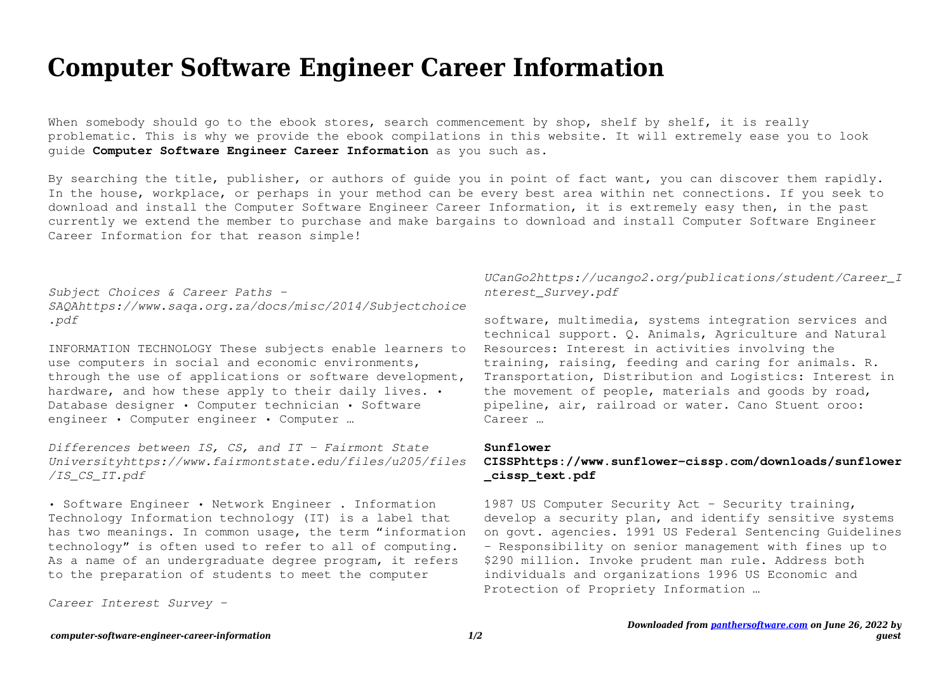## **Computer Software Engineer Career Information**

When somebody should go to the ebook stores, search commencement by shop, shelf by shelf, it is really problematic. This is why we provide the ebook compilations in this website. It will extremely ease you to look guide **Computer Software Engineer Career Information** as you such as.

By searching the title, publisher, or authors of guide you in point of fact want, you can discover them rapidly. In the house, workplace, or perhaps in your method can be every best area within net connections. If you seek to download and install the Computer Software Engineer Career Information, it is extremely easy then, in the past currently we extend the member to purchase and make bargains to download and install Computer Software Engineer Career Information for that reason simple!

*Subject Choices & Career Paths - SAQAhttps://www.saqa.org.za/docs/misc/2014/Subjectchoice .pdf*

INFORMATION TECHNOLOGY These subjects enable learners to use computers in social and economic environments, through the use of applications or software development, hardware, and how these apply to their daily lives. . Database designer • Computer technician • Software engineer • Computer engineer • Computer …

*Differences between IS, CS, and IT - Fairmont State Universityhttps://www.fairmontstate.edu/files/u205/files /IS\_CS\_IT.pdf*

• Software Engineer • Network Engineer . Information Technology Information technology (IT) is a label that has two meanings. In common usage, the term "information technology" is often used to refer to all of computing. As a name of an undergraduate degree program, it refers to the preparation of students to meet the computer

*Career Interest Survey -*

## *UCanGo2https://ucango2.org/publications/student/Career\_I nterest\_Survey.pdf*

software, multimedia, systems integration services and technical support. Q. Animals, Agriculture and Natural Resources: Interest in activities involving the training, raising, feeding and caring for animals. R. Transportation, Distribution and Logistics: Interest in the movement of people, materials and goods by road, pipeline, air, railroad or water. Cano Stuent oroo: Career

## **Sunflower**

## **CISSPhttps://www.sunflower-cissp.com/downloads/sunflower \_cissp\_text.pdf**

1987 US Computer Security Act - Security training, develop a security plan, and identify sensitive systems on govt. agencies. 1991 US Federal Sentencing Guidelines - Responsibility on senior management with fines up to \$290 million. Invoke prudent man rule. Address both individuals and organizations 1996 US Economic and Protection of Propriety Information …